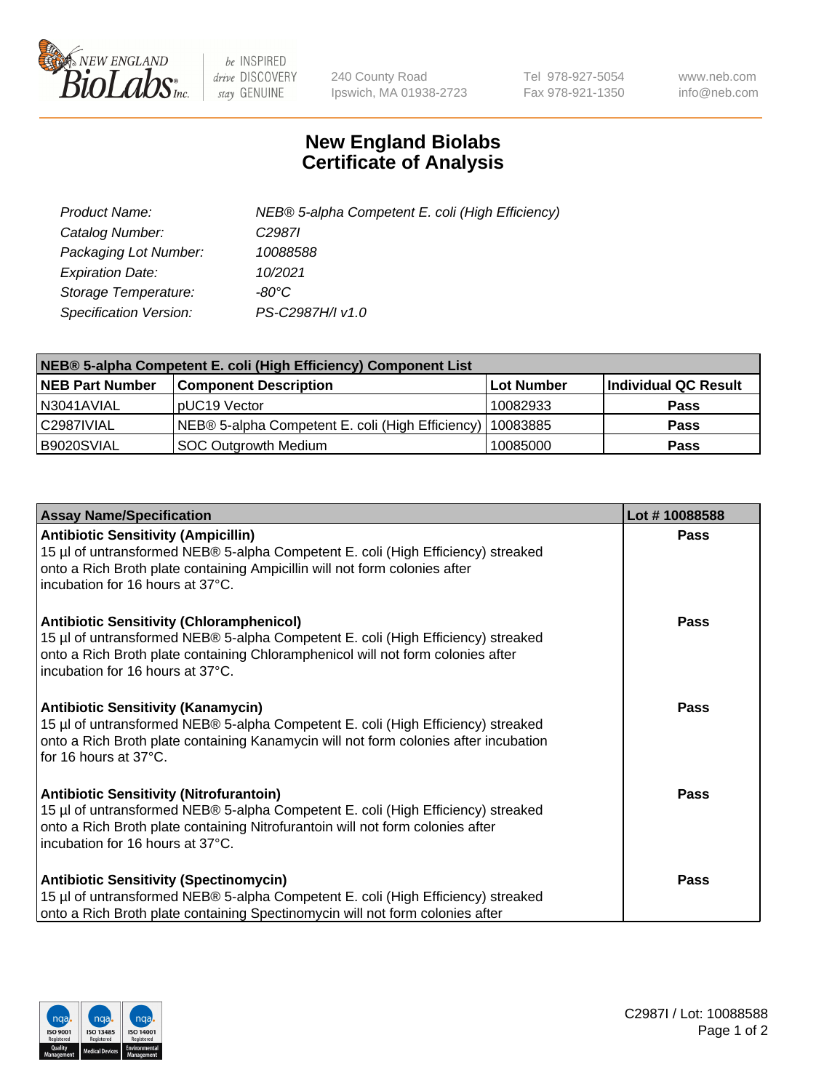

 $be$  INSPIRED drive DISCOVERY stay GENUINE

240 County Road Ipswich, MA 01938-2723 Tel 978-927-5054 Fax 978-921-1350 www.neb.com info@neb.com

## **New England Biolabs Certificate of Analysis**

| Product Name:           | NEB® 5-alpha Competent E. coli (High Efficiency) |
|-------------------------|--------------------------------------------------|
| Catalog Number:         | C <sub>2987</sub>                                |
| Packaging Lot Number:   | 10088588                                         |
| <b>Expiration Date:</b> | 10/2021                                          |
| Storage Temperature:    | -80°C                                            |
| Specification Version:  | PS-C2987H/I v1.0                                 |

| NEB® 5-alpha Competent E. coli (High Efficiency) Component List |                                                  |            |                      |  |
|-----------------------------------------------------------------|--------------------------------------------------|------------|----------------------|--|
| <b>NEB Part Number</b>                                          | <b>Component Description</b>                     | Lot Number | Individual QC Result |  |
| N3041AVIAL                                                      | pUC19 Vector                                     | 10082933   | <b>Pass</b>          |  |
| C2987IVIAL                                                      | NEB® 5-alpha Competent E. coli (High Efficiency) | 10083885   | <b>Pass</b>          |  |
| B9020SVIAL                                                      | <b>SOC Outgrowth Medium</b>                      | 10085000   | <b>Pass</b>          |  |

| <b>Assay Name/Specification</b>                                                                                                                                                                                                                            | Lot #10088588 |
|------------------------------------------------------------------------------------------------------------------------------------------------------------------------------------------------------------------------------------------------------------|---------------|
| <b>Antibiotic Sensitivity (Ampicillin)</b><br>15 µl of untransformed NEB® 5-alpha Competent E. coli (High Efficiency) streaked<br>onto a Rich Broth plate containing Ampicillin will not form colonies after<br>incubation for 16 hours at 37°C.           | <b>Pass</b>   |
| <b>Antibiotic Sensitivity (Chloramphenicol)</b><br>15 µl of untransformed NEB® 5-alpha Competent E. coli (High Efficiency) streaked<br>onto a Rich Broth plate containing Chloramphenicol will not form colonies after<br>incubation for 16 hours at 37°C. | Pass          |
| Antibiotic Sensitivity (Kanamycin)<br>15 µl of untransformed NEB® 5-alpha Competent E. coli (High Efficiency) streaked<br>onto a Rich Broth plate containing Kanamycin will not form colonies after incubation<br>for 16 hours at 37°C.                    | Pass          |
| <b>Antibiotic Sensitivity (Nitrofurantoin)</b><br>15 µl of untransformed NEB® 5-alpha Competent E. coli (High Efficiency) streaked<br>onto a Rich Broth plate containing Nitrofurantoin will not form colonies after<br>incubation for 16 hours at 37°C.   | <b>Pass</b>   |
| <b>Antibiotic Sensitivity (Spectinomycin)</b><br>15 µl of untransformed NEB® 5-alpha Competent E. coli (High Efficiency) streaked<br>onto a Rich Broth plate containing Spectinomycin will not form colonies after                                         | Pass          |